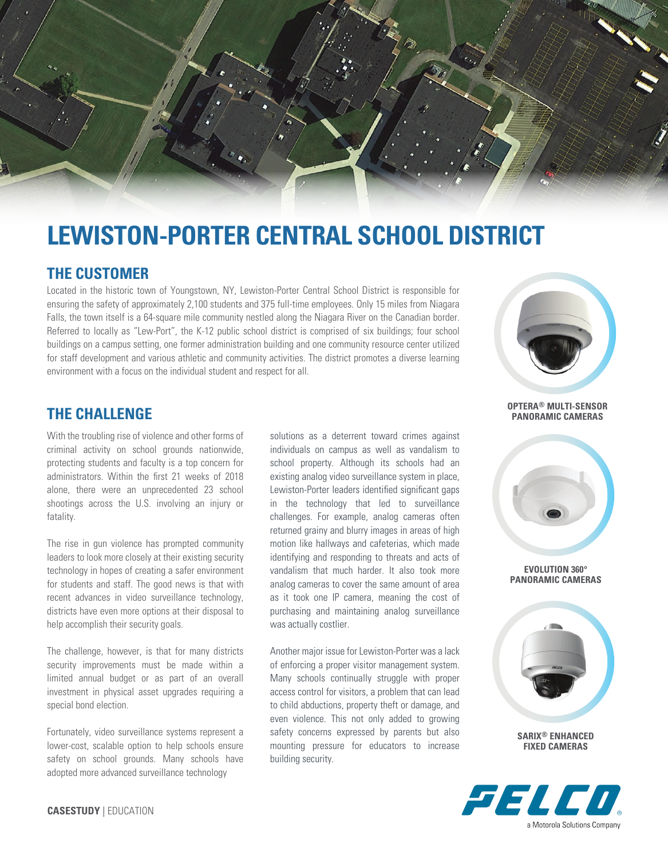

# **LEWISTON-PORTER CENTRAL SCHOOL DISTRICT**

## **THE CUSTOMER**

Located in the historic town of Youngstown, NY, Lewiston-Porter Central School District is responsible for ensuring the safety of approximately 2,100 students and 375 full-time employees. Only 15 miles from Niagara Falls, the town itself is a 64-square mile community nestled along the Niagara River on the Canadian border. Referred to locally as "Lew-Port", the K-12 public school district is comprised of six buildings; four school buildings on a campus setting, one former administration building and one community resource center utilized for staff development and various athletic and community activities. The district promotes a diverse learning environment with a focus on the individual student and respect for all.



**THE CHALLENGE**

With the troubling rise of violence and other forms of criminal activity on school grounds nationwide, protecting students and faculty is a top concern for administrators. Within the first 21 weeks of 2018 alone, there were an unprecedented 23 school shootings across the U.S. involving an injury or fatality.

The rise in gun violence has prompted community leaders to look more closely at their existing security technology in hopes of creating a safer environment for students and staff. The good news is that with recent advances in video surveillance technology, districts have even more options at their disposal to help accomplish their security goals.

The challenge, however, is that for many districts security improvements must be made within a limited annual budget or as part of an overall investment in physical asset upgrades requiring a special bond election.

Fortunately, video surveillance systems represent a lower-cost, scalable option to help schools ensure safety on school grounds. Many schools have adopted more advanced surveillance technology

solutions as a deterrent toward crimes against individuals on campus as well as vandalism to school property. Although its schools had an existing analog video surveillance system in place, Lewiston-Porter leaders identified significant gaps in the technology that led to surveillance challenges. For example, analog cameras often returned grainy and blurry images in areas of high motion like hallways and cafeterias, which made identifying and responding to threats and acts of vandalism that much harder. It also took more analog cameras to cover the same amount of area as it took one IP camera, meaning the cost of purchasing and maintaining analog surveillance was actually costlier.

Another major issue for Lewiston-Porter was a lack of enforcing a proper visitor management system. Many schools continually struggle with proper access control for visitors, a problem that can lead to child abductions, property theft or damage, and even violence. This not only added to growing safety concerns expressed by parents but also mounting pressure for educators to increase building security.

**OPTERA® MULTI-SENSOR PANORAMIC CAMERAS**



#### **EVOLUTION 360° PANORAMIC CAMERAS**



**SARIX® ENHANCED FIXED CAMERAS**